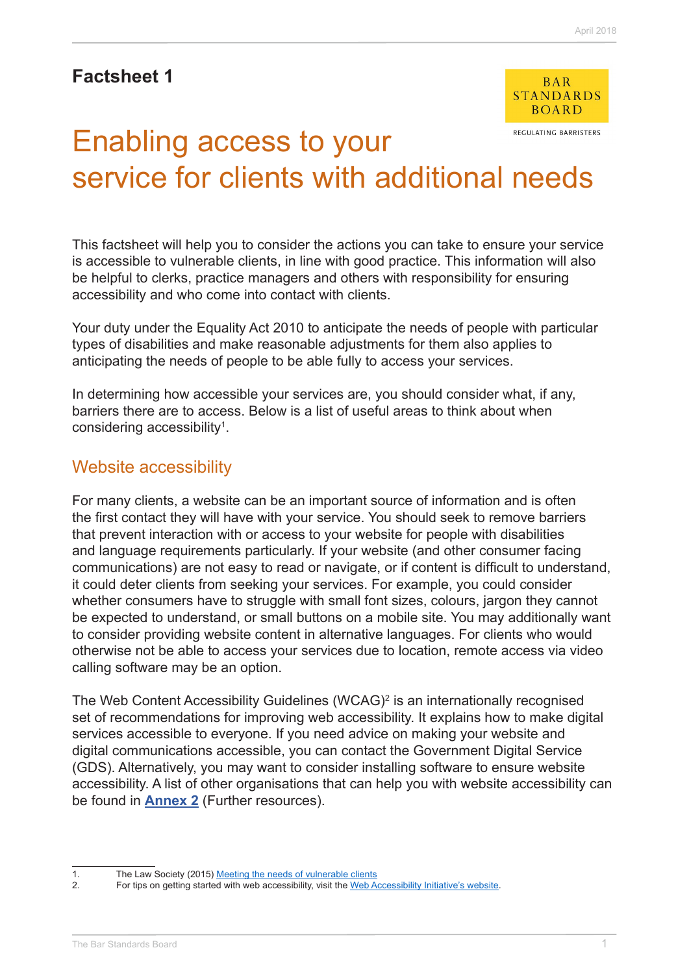# **Factsheet 1**



REGULATING BARRISTERS

# Enabling access to your service for clients with additional needs

This factsheet will help you to consider the actions you can take to ensure your service is accessible to vulnerable clients, in line with good practice. This information will also be helpful to clerks, practice managers and others with responsibility for ensuring accessibility and who come into contact with clients.

Your duty under the Equality Act 2010 to anticipate the needs of people with particular types of disabilities and make reasonable adjustments for them also applies to anticipating the needs of people to be able fully to access your services.

In determining how accessible your services are, you should consider what, if any, barriers there are to access. Below is a list of useful areas to think about when considering accessibility<sup>1</sup>.

#### Website accessibility

For many clients, a website can be an important source of information and is often the first contact they will have with your service. You should seek to remove barriers that prevent interaction with or access to your website for people with disabilities and language requirements particularly. If your website (and other consumer facing communications) are not easy to read or navigate, or if content is difficult to understand, it could deter clients from seeking your services. For example, you could consider whether consumers have to struggle with small font sizes, colours, jargon they cannot be expected to understand, or small buttons on a mobile site. You may additionally want to consider providing website content in alternative languages. For clients who would otherwise not be able to access your services due to location, remote access via video calling software may be an option.

The Web Content Accessibility Guidelines (WCAG)<sup>2</sup> is an internationally recognised set of recommendations for improving web accessibility. It explains how to make digital services accessible to everyone. If you need advice on making your website and digital communications accessible, you can contact the Government Digital Service (GDS). Alternatively, you may want to consider installing software to ensure website accessibility. A list of other organisations that can help you with website accessibility can be found in **[Annex 2](http://www.barstandardsboard.org.uk/media/1929036/further_resources.pdf)** (Further resources).

<sup>1.</sup> The Law Society (2015) Meeting the needs of vulnerable clients

<sup>2.</sup> For tips on getting started with web accessibility, visit the [Web Accessibility Initiative's website.](https://www.w3.org/WAI/gettingstarted/tips/)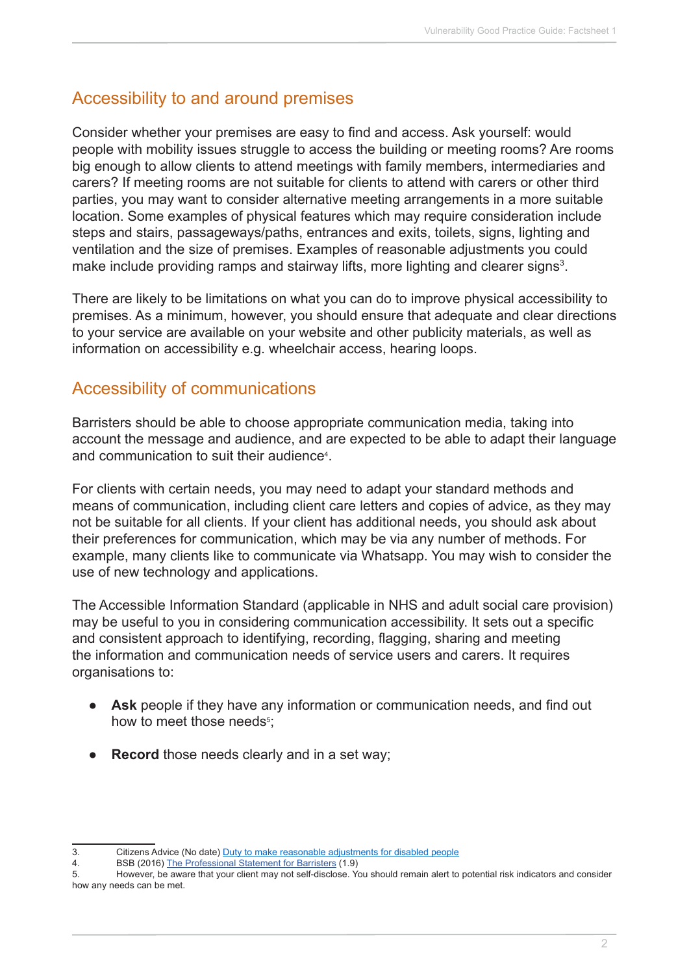# Accessibility to and around premises

Consider whether your premises are easy to find and access. Ask yourself: would people with mobility issues struggle to access the building or meeting rooms? Are rooms big enough to allow clients to attend meetings with family members, intermediaries and carers? If meeting rooms are not suitable for clients to attend with carers or other third parties, you may want to consider alternative meeting arrangements in a more suitable location. Some examples of physical features which may require consideration include steps and stairs, passageways/paths, entrances and exits, toilets, signs, lighting and ventilation and the size of premises. Examples of reasonable adjustments you could make include providing ramps and stairway lifts, more lighting and clearer signs<sup>3</sup>.

There are likely to be limitations on what you can do to improve physical accessibility to premises. As a minimum, however, you should ensure that adequate and clear directions to your service are available on your website and other publicity materials, as well as information on accessibility e.g. wheelchair access, hearing loops.

### Accessibility of communications

Barristers should be able to choose appropriate communication media, taking into account the message and audience, and are expected to be able to adapt their language and communication to suit their audience4 .

For clients with certain needs, you may need to adapt your standard methods and means of communication, including client care letters and copies of advice, as they may not be suitable for all clients. If your client has additional needs, you should ask about their preferences for communication, which may be via any number of methods. For example, many clients like to communicate via Whatsapp. You may wish to consider the use of new technology and applications.

The Accessible Information Standard (applicable in NHS and adult social care provision) may be useful to you in considering communication accessibility. It sets out a specific and consistent approach to identifying, recording, flagging, sharing and meeting the information and communication needs of service users and carers. It requires organisations to:

- **● Ask** people if they have any information or communication needs, and find out how to meet those needs<sup>5</sup>;
- **Record** those needs clearly and in a set way;

<sup>3.</sup> Citizens Advice (No date) [Duty to make reasonable adjustments for disabled people](https://www.citizensadvice.org.uk/law-and-courts/discrimination/what-are-the-different-types-of-discrimination/duty-to-make-reasonable-adjustments-for-disabled-people/)

<sup>4.</sup> BSB (2016) [The Professional Statement for Barristers](https://www.barstandardsboard.org.uk/media/1787559/bsb_professional_statement_and_competences_2016.pdf) (1.9)

<sup>5.</sup> However, be aware that your client may not self-disclose. You should remain alert to potential risk indicators and consider how any needs can be met.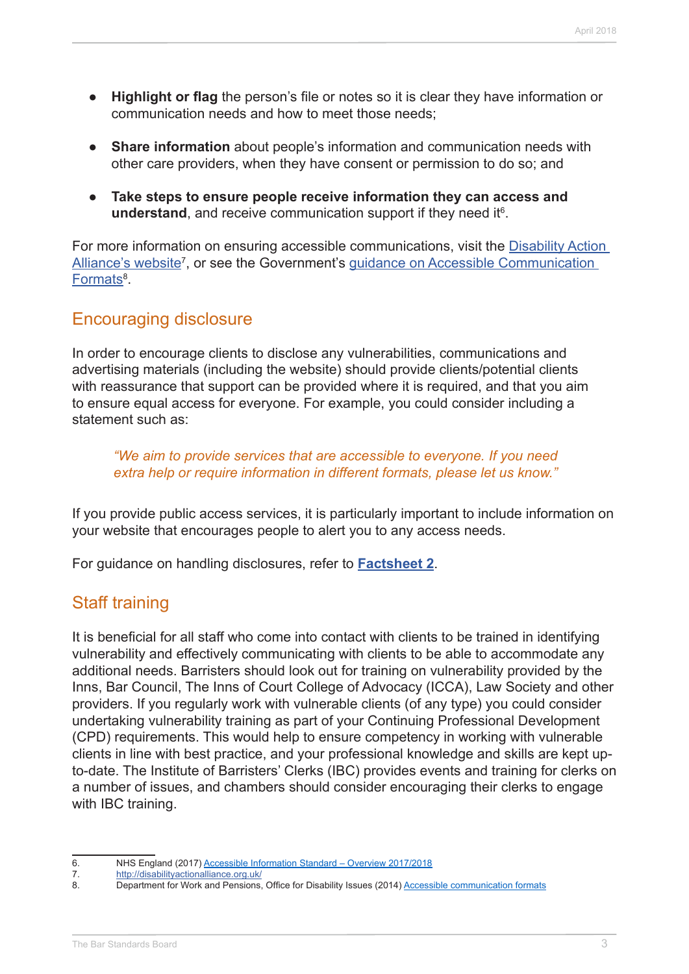- **● Highlight or flag** the person's file or notes so it is clear they have information or communication needs and how to meet those needs;
- **Share information** about people's information and communication needs with other care providers, when they have consent or permission to do so; and
- **● Take steps to ensure people receive information they can access and**  understand, and receive communication support if they need it<sup>6</sup>.

For more information on ensuring accessible communications, visit the [Disability Action](http://disabilityactionalliance.org.uk/)  Alliance's website<sup>7</sup>, or see the Government's guidance on Accessible Communication <u>[Formats](https://www.gov.uk/government/publications/inclusive-communication/accessible-communication-formats)</u><sup>8</sup>.

# Encouraging disclosure

In order to encourage clients to disclose any vulnerabilities, communications and advertising materials (including the website) should provide clients/potential clients with reassurance that support can be provided where it is required, and that you aim to ensure equal access for everyone. For example, you could consider including a statement such as:

*"We aim to provide services that are accessible to everyone. If you need extra help or require information in different formats, please let us know."*

If you provide public access services, it is particularly important to include information on your website that encourages people to alert you to any access needs.

For guidance on handling disclosures, refer to **[Factsheet 2](http://www.barstandardsboard.org.uk/media/1929008/factsheet_2.pdf)**.

# Staff training

It is beneficial for all staff who come into contact with clients to be trained in identifying vulnerability and effectively communicating with clients to be able to accommodate any additional needs. Barristers should look out for training on vulnerability provided by the Inns, Bar Council, The Inns of Court College of Advocacy (ICCA), Law Society and other providers. If you regularly work with vulnerable clients (of any type) you could consider undertaking vulnerability training as part of your Continuing Professional Development (CPD) requirements. This would help to ensure competency in working with vulnerable clients in line with best practice, and your professional knowledge and skills are kept upto-date. The Institute of Barristers' Clerks (IBC) provides events and training for clerks on a number of issues, and chambers should consider encouraging their clerks to engage with IBC training.

6. NHS England (2017) [Accessible Information Standard – Overview 2017/2018](https://www.england.nhs.uk/wp-content/uploads/2017/10/accessible-info-standard-overview-2017-18.pdf)<br>7. http://disabilityactionalliance.org.uk/

<http://disabilityactionalliance.org.uk/>

<sup>8.</sup> Department for Work and Pensions, Office for Disability Issues (2014) [Accessible communication formats](https://www.gov.uk/government/publications/inclusive-communication/accessible-communication-formats)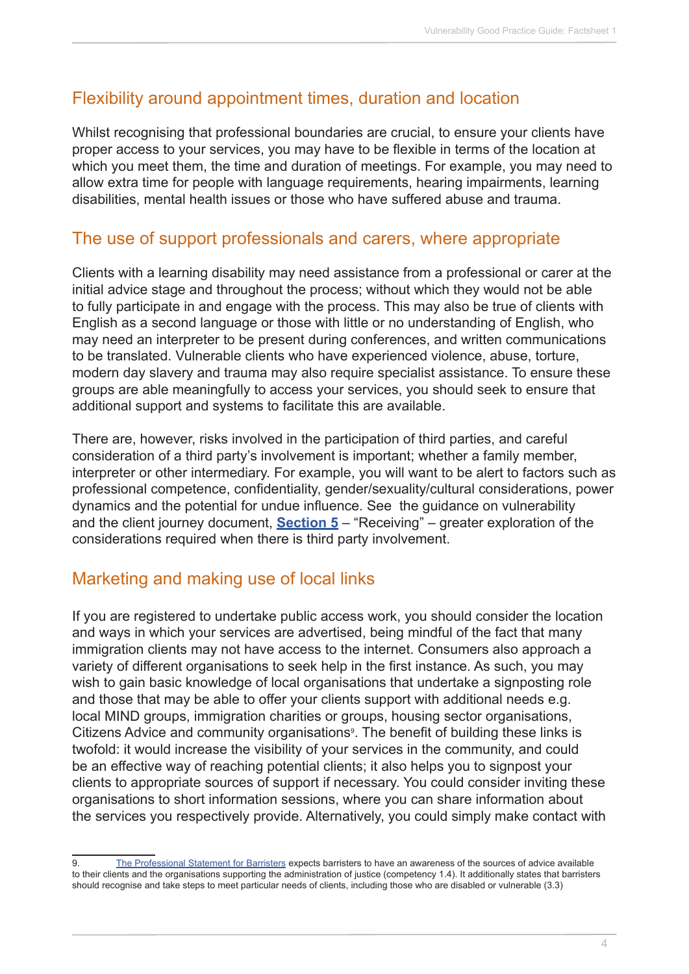## Flexibility around appointment times, duration and location

Whilst recognising that professional boundaries are crucial, to ensure your clients have proper access to your services, you may have to be flexible in terms of the location at which you meet them, the time and duration of meetings. For example, you may need to allow extra time for people with language requirements, hearing impairments, learning disabilities, mental health issues or those who have suffered abuse and trauma.

#### The use of support professionals and carers, where appropriate

Clients with a learning disability may need assistance from a professional or carer at the initial advice stage and throughout the process; without which they would not be able to fully participate in and engage with the process. This may also be true of clients with English as a second language or those with little or no understanding of English, who may need an interpreter to be present during conferences, and written communications to be translated. Vulnerable clients who have experienced violence, abuse, torture, modern day slavery and trauma may also require specialist assistance. To ensure these groups are able meaningfully to access your services, you should seek to ensure that additional support and systems to facilitate this are available.

There are, however, risks involved in the participation of third parties, and careful consideration of a third party's involvement is important; whether a family member, interpreter or other intermediary. For example, you will want to be alert to factors such as professional competence, confidentiality, gender/sexuality/cultural considerations, power dynamics and the potential for undue influence. See the guidance on vulnerability and the client journey document, **[Section 5](http://www.barstandardsboard.org.uk/media/1929020/factsheet_5.pdf)** – "Receiving" – greater exploration of the considerations required when there is third party involvement.

# Marketing and making use of local links

If you are registered to undertake public access work, you should consider the location and ways in which your services are advertised, being mindful of the fact that many immigration clients may not have access to the internet. Consumers also approach a variety of different organisations to seek help in the first instance. As such, you may wish to gain basic knowledge of local organisations that undertake a signposting role and those that may be able to offer your clients support with additional needs e.g. local MIND groups, immigration charities or groups, housing sector organisations, Citizens Advice and community organisations<sup>9</sup>. The benefit of building these links is twofold: it would increase the visibility of your services in the community, and could be an effective way of reaching potential clients; it also helps you to signpost your clients to appropriate sources of support if necessary. You could consider inviting these organisations to short information sessions, where you can share information about the services you respectively provide. Alternatively, you could simply make contact with

<sup>9.</sup> [The Professional Statement for Barristers](https://www.barstandardsboard.org.uk/media/1787559/bsb_professional_statement_and_competences_2016.pdf) expects barristers to have an awareness of the sources of advice available to their clients and the organisations supporting the administration of justice (competency 1.4). It additionally states that barristers should recognise and take steps to meet particular needs of clients, including those who are disabled or vulnerable (3.3)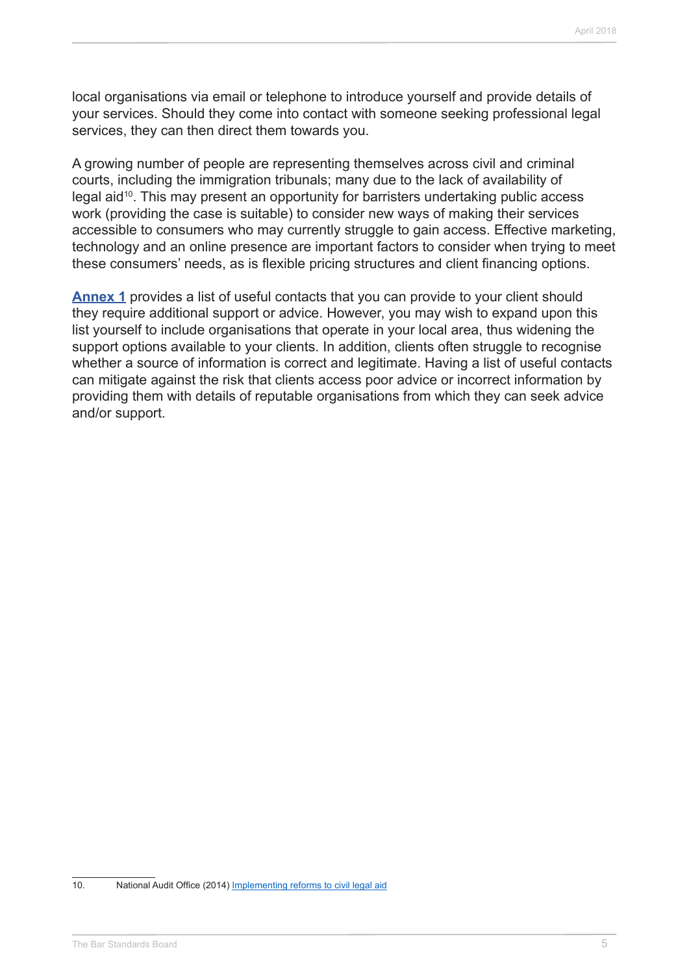local organisations via email or telephone to introduce yourself and provide details of your services. Should they come into contact with someone seeking professional legal services, they can then direct them towards you.

A growing number of people are representing themselves across civil and criminal courts, including the immigration tribunals; many due to the lack of availability of legal aid10. This may present an opportunity for barristers undertaking public access work (providing the case is suitable) to consider new ways of making their services accessible to consumers who may currently struggle to gain access. Effective marketing, technology and an online presence are important factors to consider when trying to meet these consumers' needs, as is flexible pricing structures and client financing options.

**[Annex 1](http://www.barstandardsboard.org.uk/media/1929032/useful_contacts.pdf)** provides a list of useful contacts that you can provide to your client should they require additional support or advice. However, you may wish to expand upon this list yourself to include organisations that operate in your local area, thus widening the support options available to your clients. In addition, clients often struggle to recognise whether a source of information is correct and legitimate. Having a list of useful contacts can mitigate against the risk that clients access poor advice or incorrect information by providing them with details of reputable organisations from which they can seek advice and/or support.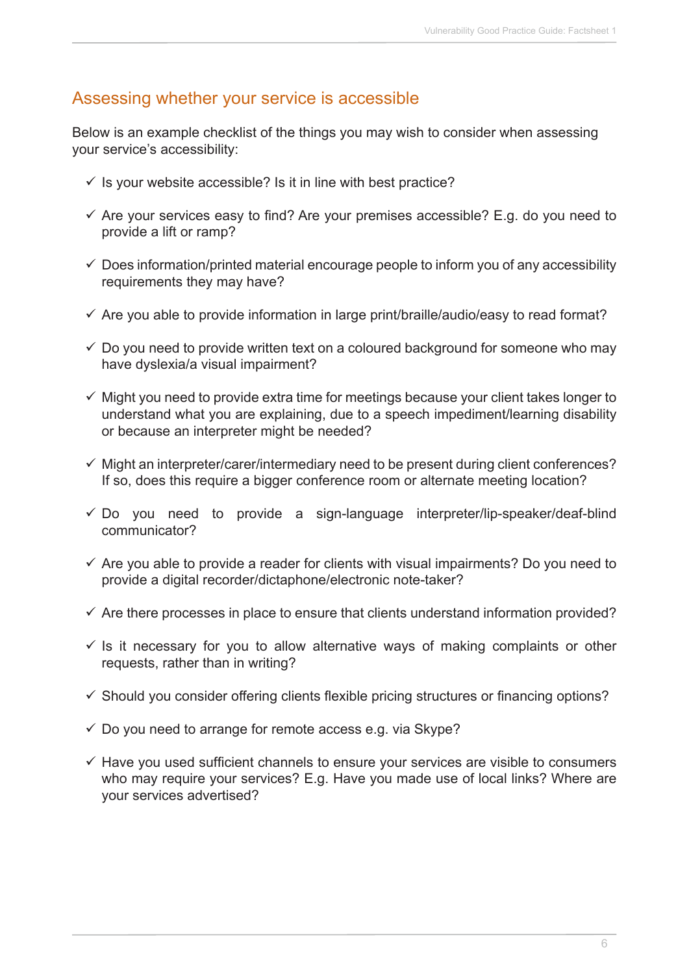#### Assessing whether your service is accessible

Below is an example checklist of the things you may wish to consider when assessing your service's accessibility:

- $\checkmark$  is your website accessible? Is it in line with best practice?
- $\checkmark$  Are your services easy to find? Are your premises accessible? E.g. do you need to provide a lift or ramp?
- $\checkmark$  Does information/printed material encourage people to inform you of any accessibility requirements they may have?
- $\checkmark$  Are you able to provide information in large print/braille/audio/easy to read format?
- $\checkmark$  Do you need to provide written text on a coloured background for someone who may have dyslexia/a visual impairment?
- $\checkmark$  Might you need to provide extra time for meetings because your client takes longer to understand what you are explaining, due to a speech impediment/learning disability or because an interpreter might be needed?
- $\checkmark$  Might an interpreter/carer/intermediary need to be present during client conferences? If so, does this require a bigger conference room or alternate meeting location?
- $\checkmark$  Do you need to provide a sign-language interpreter/lip-speaker/deaf-blind communicator?
- $\checkmark$  Are you able to provide a reader for clients with visual impairments? Do you need to provide a digital recorder/dictaphone/electronic note-taker?
- $\checkmark$  Are there processes in place to ensure that clients understand information provided?
- $\checkmark$  is it necessary for you to allow alternative ways of making complaints or other requests, rather than in writing?
- $\checkmark$  Should you consider offering clients flexible pricing structures or financing options?
- $\checkmark$  Do you need to arrange for remote access e.g. via Skype?
- $\checkmark$  Have you used sufficient channels to ensure your services are visible to consumers who may require your services? E.g. Have you made use of local links? Where are your services advertised?